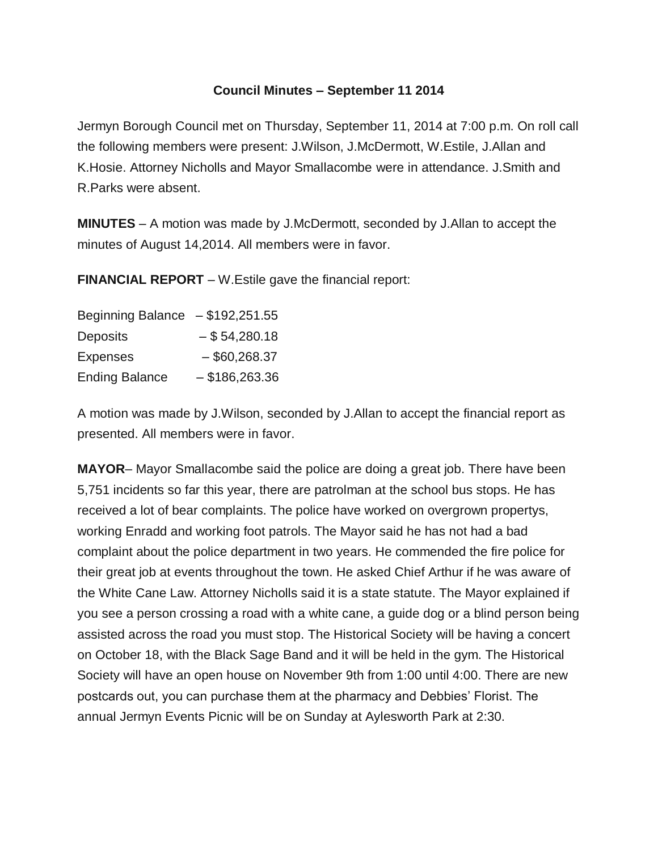## **Council Minutes – September 11 2014**

Jermyn Borough Council met on Thursday, September 11, 2014 at 7:00 p.m. On roll call the following members were present: J.Wilson, J.McDermott, W.Estile, J.Allan and K.Hosie. Attorney Nicholls and Mayor Smallacombe were in attendance. J.Smith and R.Parks were absent.

**MINUTES** – A motion was made by J.McDermott, seconded by J.Allan to accept the minutes of August 14,2014. All members were in favor.

**FINANCIAL REPORT** – W.Estile gave the financial report:

| Beginning Balance $- $192,251.55$ |                  |
|-----------------------------------|------------------|
| <b>Deposits</b>                   | $-$ \$54,280.18  |
| <b>Expenses</b>                   | $-$ \$60,268.37  |
| <b>Ending Balance</b>             | $-$ \$186,263.36 |

A motion was made by J.Wilson, seconded by J.Allan to accept the financial report as presented. All members were in favor.

**MAYOR**– Mayor Smallacombe said the police are doing a great job. There have been 5,751 incidents so far this year, there are patrolman at the school bus stops. He has received a lot of bear complaints. The police have worked on overgrown propertys, working Enradd and working foot patrols. The Mayor said he has not had a bad complaint about the police department in two years. He commended the fire police for their great job at events throughout the town. He asked Chief Arthur if he was aware of the White Cane Law. Attorney Nicholls said it is a state statute. The Mayor explained if you see a person crossing a road with a white cane, a guide dog or a blind person being assisted across the road you must stop. The Historical Society will be having a concert on October 18, with the Black Sage Band and it will be held in the gym. The Historical Society will have an open house on November 9th from 1:00 until 4:00. There are new postcards out, you can purchase them at the pharmacy and Debbies' Florist. The annual Jermyn Events Picnic will be on Sunday at Aylesworth Park at 2:30.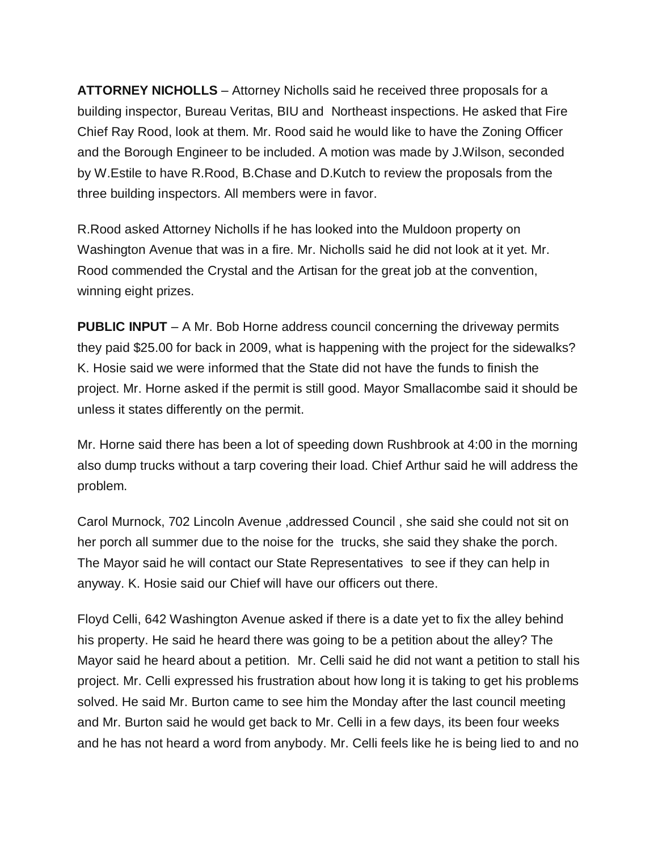**ATTORNEY NICHOLLS** – Attorney Nicholls said he received three proposals for a building inspector, Bureau Veritas, BIU and Northeast inspections. He asked that Fire Chief Ray Rood, look at them. Mr. Rood said he would like to have the Zoning Officer and the Borough Engineer to be included. A motion was made by J.Wilson, seconded by W.Estile to have R.Rood, B.Chase and D.Kutch to review the proposals from the three building inspectors. All members were in favor.

R.Rood asked Attorney Nicholls if he has looked into the Muldoon property on Washington Avenue that was in a fire. Mr. Nicholls said he did not look at it yet. Mr. Rood commended the Crystal and the Artisan for the great job at the convention, winning eight prizes.

**PUBLIC INPUT** – A Mr. Bob Horne address council concerning the driveway permits they paid \$25.00 for back in 2009, what is happening with the project for the sidewalks? K. Hosie said we were informed that the State did not have the funds to finish the project. Mr. Horne asked if the permit is still good. Mayor Smallacombe said it should be unless it states differently on the permit.

Mr. Horne said there has been a lot of speeding down Rushbrook at 4:00 in the morning also dump trucks without a tarp covering their load. Chief Arthur said he will address the problem.

Carol Murnock, 702 Lincoln Avenue ,addressed Council , she said she could not sit on her porch all summer due to the noise for the trucks, she said they shake the porch. The Mayor said he will contact our State Representatives to see if they can help in anyway. K. Hosie said our Chief will have our officers out there.

Floyd Celli, 642 Washington Avenue asked if there is a date yet to fix the alley behind his property. He said he heard there was going to be a petition about the alley? The Mayor said he heard about a petition. Mr. Celli said he did not want a petition to stall his project. Mr. Celli expressed his frustration about how long it is taking to get his problems solved. He said Mr. Burton came to see him the Monday after the last council meeting and Mr. Burton said he would get back to Mr. Celli in a few days, its been four weeks and he has not heard a word from anybody. Mr. Celli feels like he is being lied to and no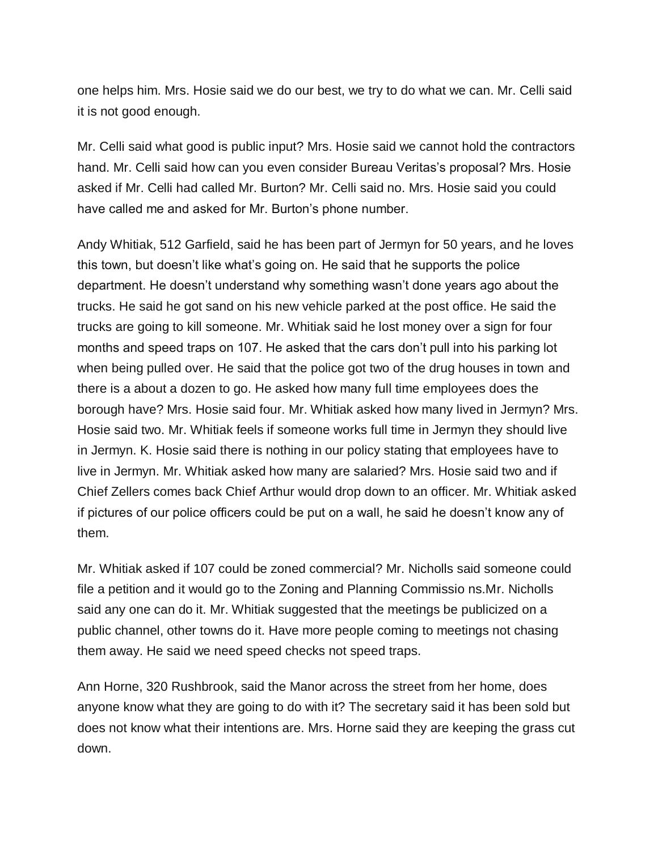one helps him. Mrs. Hosie said we do our best, we try to do what we can. Mr. Celli said it is not good enough.

Mr. Celli said what good is public input? Mrs. Hosie said we cannot hold the contractors hand. Mr. Celli said how can you even consider Bureau Veritas's proposal? Mrs. Hosie asked if Mr. Celli had called Mr. Burton? Mr. Celli said no. Mrs. Hosie said you could have called me and asked for Mr. Burton's phone number.

Andy Whitiak, 512 Garfield, said he has been part of Jermyn for 50 years, and he loves this town, but doesn't like what's going on. He said that he supports the police department. He doesn't understand why something wasn't done years ago about the trucks. He said he got sand on his new vehicle parked at the post office. He said the trucks are going to kill someone. Mr. Whitiak said he lost money over a sign for four months and speed traps on 107. He asked that the cars don't pull into his parking lot when being pulled over. He said that the police got two of the drug houses in town and there is a about a dozen to go. He asked how many full time employees does the borough have? Mrs. Hosie said four. Mr. Whitiak asked how many lived in Jermyn? Mrs. Hosie said two. Mr. Whitiak feels if someone works full time in Jermyn they should live in Jermyn. K. Hosie said there is nothing in our policy stating that employees have to live in Jermyn. Mr. Whitiak asked how many are salaried? Mrs. Hosie said two and if Chief Zellers comes back Chief Arthur would drop down to an officer. Mr. Whitiak asked if pictures of our police officers could be put on a wall, he said he doesn't know any of them.

Mr. Whitiak asked if 107 could be zoned commercial? Mr. Nicholls said someone could file a petition and it would go to the Zoning and Planning Commissio ns.Mr. Nicholls said any one can do it. Mr. Whitiak suggested that the meetings be publicized on a public channel, other towns do it. Have more people coming to meetings not chasing them away. He said we need speed checks not speed traps.

Ann Horne, 320 Rushbrook, said the Manor across the street from her home, does anyone know what they are going to do with it? The secretary said it has been sold but does not know what their intentions are. Mrs. Horne said they are keeping the grass cut down.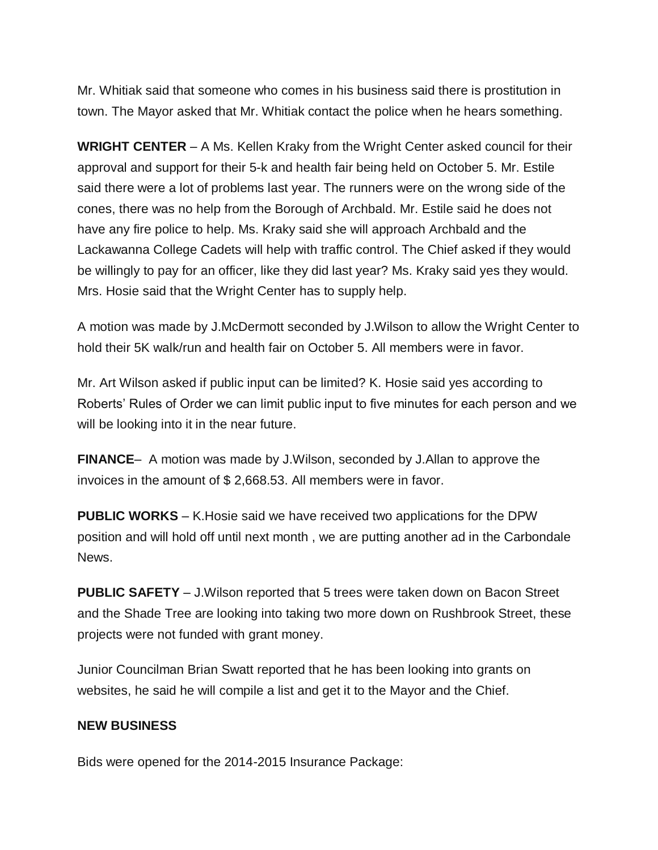Mr. Whitiak said that someone who comes in his business said there is prostitution in town. The Mayor asked that Mr. Whitiak contact the police when he hears something.

**WRIGHT CENTER** – A Ms. Kellen Kraky from the Wright Center asked council for their approval and support for their 5-k and health fair being held on October 5. Mr. Estile said there were a lot of problems last year. The runners were on the wrong side of the cones, there was no help from the Borough of Archbald. Mr. Estile said he does not have any fire police to help. Ms. Kraky said she will approach Archbald and the Lackawanna College Cadets will help with traffic control. The Chief asked if they would be willingly to pay for an officer, like they did last year? Ms. Kraky said yes they would. Mrs. Hosie said that the Wright Center has to supply help.

A motion was made by J.McDermott seconded by J.Wilson to allow the Wright Center to hold their 5K walk/run and health fair on October 5. All members were in favor.

Mr. Art Wilson asked if public input can be limited? K. Hosie said yes according to Roberts' Rules of Order we can limit public input to five minutes for each person and we will be looking into it in the near future.

**FINANCE**– A motion was made by J.Wilson, seconded by J.Allan to approve the invoices in the amount of \$ 2,668.53. All members were in favor.

**PUBLIC WORKS** – K.Hosie said we have received two applications for the DPW position and will hold off until next month , we are putting another ad in the Carbondale News.

**PUBLIC SAFETY** – J.Wilson reported that 5 trees were taken down on Bacon Street and the Shade Tree are looking into taking two more down on Rushbrook Street, these projects were not funded with grant money.

Junior Councilman Brian Swatt reported that he has been looking into grants on websites, he said he will compile a list and get it to the Mayor and the Chief.

## **NEW BUSINESS**

Bids were opened for the 2014-2015 Insurance Package: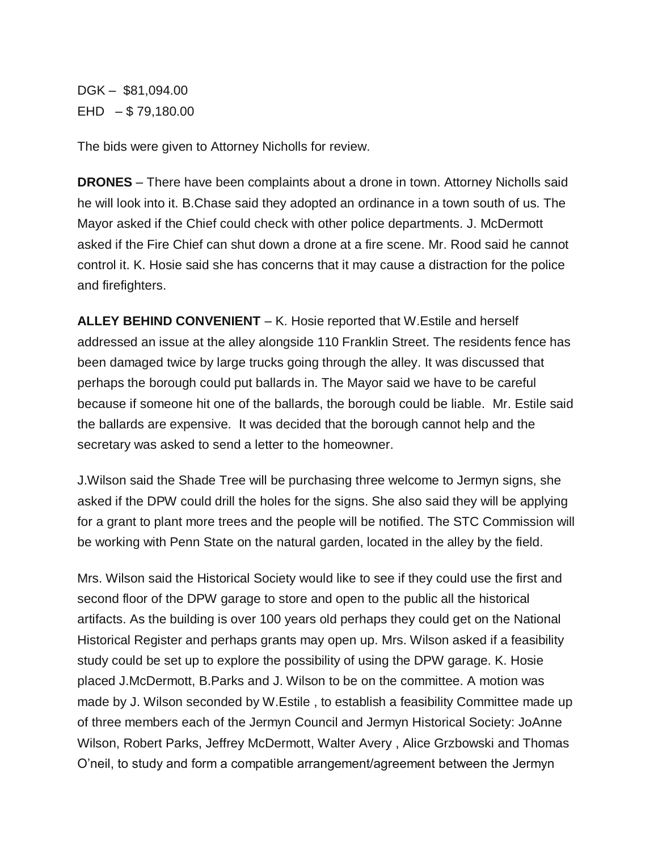DGK – \$81,094.00  $EHD - $79,180.00$ 

The bids were given to Attorney Nicholls for review.

**DRONES** – There have been complaints about a drone in town. Attorney Nicholls said he will look into it. B.Chase said they adopted an ordinance in a town south of us. The Mayor asked if the Chief could check with other police departments. J. McDermott asked if the Fire Chief can shut down a drone at a fire scene. Mr. Rood said he cannot control it. K. Hosie said she has concerns that it may cause a distraction for the police and firefighters.

**ALLEY BEHIND CONVENIENT** – K. Hosie reported that W.Estile and herself addressed an issue at the alley alongside 110 Franklin Street. The residents fence has been damaged twice by large trucks going through the alley. It was discussed that perhaps the borough could put ballards in. The Mayor said we have to be careful because if someone hit one of the ballards, the borough could be liable. Mr. Estile said the ballards are expensive. It was decided that the borough cannot help and the secretary was asked to send a letter to the homeowner.

J.Wilson said the Shade Tree will be purchasing three welcome to Jermyn signs, she asked if the DPW could drill the holes for the signs. She also said they will be applying for a grant to plant more trees and the people will be notified. The STC Commission will be working with Penn State on the natural garden, located in the alley by the field.

Mrs. Wilson said the Historical Society would like to see if they could use the first and second floor of the DPW garage to store and open to the public all the historical artifacts. As the building is over 100 years old perhaps they could get on the National Historical Register and perhaps grants may open up. Mrs. Wilson asked if a feasibility study could be set up to explore the possibility of using the DPW garage. K. Hosie placed J.McDermott, B.Parks and J. Wilson to be on the committee. A motion was made by J. Wilson seconded by W.Estile , to establish a feasibility Committee made up of three members each of the Jermyn Council and Jermyn Historical Society: JoAnne Wilson, Robert Parks, Jeffrey McDermott, Walter Avery , Alice Grzbowski and Thomas O'neil, to study and form a compatible arrangement/agreement between the Jermyn